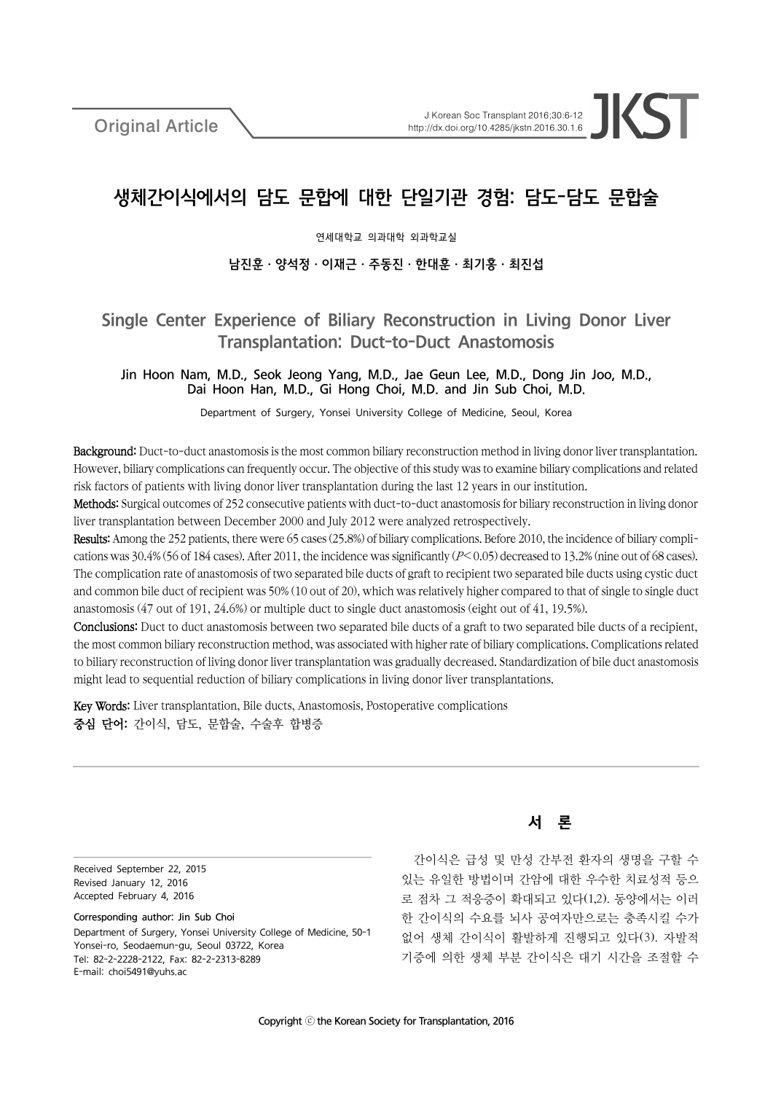Original Article

# 생체간이식에서의 담도 문합에 대한 단일기관 경험: 담도-담도 문합술

연세대학교 의과대학 외과학교실

# 남진훈ㆍ양석정ㆍ이재근ㆍ주동진ㆍ한대훈ㆍ최기홍ㆍ최진섭

# Single Center Experience of Biliary Reconstruction in Living Donor Liver Transplantation: Duct-to-Duct Anastomosis

Jin Hoon Nam, M.D., Seok Jeong Yang, M.D., Jae Geun Lee, M.D., Dong Jin Joo, M.D., Dai Hoon Han, M.D., Gi Hong Choi, M.D. and Jin Sub Choi, M.D.

Department of Surgery, Yonsei University College of Medicine, Seoul, Korea

Background: Duct-to-duct anastomosis is the most common biliary reconstruction method in living donor liver transplantation. However, biliary complications can frequently occur. The objective of this study was to examine biliary complications and related risk factors of patients with living donor liver transplantation during the last 12 years in our institution.

Methods: Surgical outcomes of 252 consecutive patients with duct-to-duct anastomosis for biliary reconstruction in living donor liver transplantation between December 2000 and July 2012 were analyzed retrospectively.

Results: Among the 252 patients, there were 65 cases (25.8%) of biliary complications. Before 2010, the incidence of biliary complications was 30.4% (56 of 184 cases). After 2011, the incidence was significantly (P<0.05) decreased to 13.2% (nine out of 68 cases). The complication rate of anastomosis of two separated bile ducts of graft to recipient two separated bile ducts using cystic duct and common bile duct of recipient was 50% (10 out of 20), which was relatively higher compared to that of single to single duct anastomosis (47 out of 191, 24.6%) or multiple duct to single duct anastomosis (eight out of 41, 19.5%).

Conclusions: Duct to duct anastomosis between two separated bile ducts of a graft to two separated bile ducts of a recipient, the most common biliary reconstruction method, was associated with higher rate of biliary complications. Complications related to biliary reconstruction of living donor liver transplantation was gradually decreased. Standardization of bile duct anastomosis might lead to sequential reduction of biliary complications in living donor liver transplantations.

Key Words: Liver transplantation, Bile ducts, Anastomosis, Postoperative complications 중심 단어: 간이식, 담도, 문합술, 수술후 합병증

Received September 22, 2015 Revised January 12, 2016 Accepted February 4, 2016

Corresponding author: Jin Sub Choi Department of Surgery, Yonsei University College of Medicine, 50-1 Yonsei-ro, Seodaemun-gu, Seoul 03722, Korea Tel: 82-2-2228-2122, Fax: 82-2-2313-8289 E-mail: choi5491@yuhs.ac

서 론

간이식은 급성 및 만성 간부전 환자의 생명을 구할 수 있는 유일한 방법이며 간암에 대한 우수한 치료성적 등으 로 점차 그 적응증이 확대되고 있다(1,2). 동양에서는 이러 한 간이식의 수요를 뇌사 공여자만으로는 충족시킬 수가 없어 생체 간이식이 활발하게 진행되고 있다(3). 자발적 기증에 의한 생체 부분 간이식은 대기 시간을 조절할 수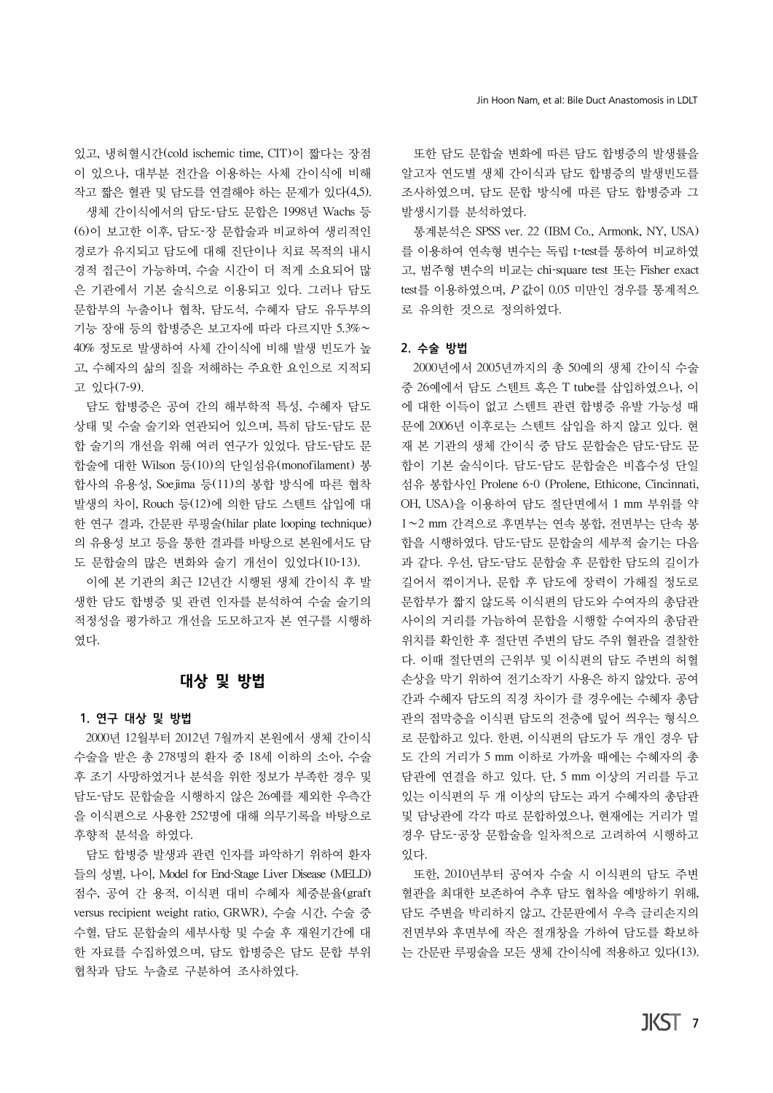있고, 냉허혈시간(cold ischemic time, CIT)이 짧다는 장점 이 있으나, 대부분 전간을 이용하는 사체 간이식에 비해 작고 짧은 혈관 및 담도를 연결해야 하는 문제가 있다(4,5). 생체 간이식에서의 담도-담도 문합은 1998년 Wachs 등 (6)이 보고한 이후, 담도-장 문합술과 비교하여 생리적인 경로가 유지되고 담도에 대해 진단이나 치료 목적의 내시 경적 접근이 가능하며, 수술 시간이 더 적게 소요되어 많 은 기관에서 기본 술식으로 이용되고 있다. 그러나 담도 문합부의 누출이나 협착, 담도석, 수혜자 담도 유두부의 기능 장애 등의 합병증은 보고자에 따라 다르지만 5.3%∼ 40% 정도로 발생하여 사체 간이식에 비해 발생 빈도가 높 고, 수혜자의 삶의 질을 저해하는 주요한 요인으로 지적되 고 있다(7-9).

담도 합병증은 공여 간의 해부학적 특성, 수혜자 담도 상태 및 수술 술기와 연관되어 있으며, 특히 담도-담도 문 합 술기의 개선을 위해 여러 연구가 있었다. 담도-담도 문 합술에 대한 Wilson 등(10)의 단일섬유(monofilament) 봉 합사의 유용성, Soejima 등(11)의 봉합 방식에 따른 협착 발생의 차이, Rouch 등(12)에 의한 담도 스텐트 삽입에 대 한 연구 결과, 간문판 루핑술(hilar plate looping technique) 의 유용성 보고 등을 통한 결과를 바탕으로 본원에서도 담 도 문합술의 많은 변화와 술기 개선이 있었다(10-13).

이에 본 기관의 최근 12년간 시행된 생체 간이식 후 발 생한 담도 합병증 및 관련 인자를 분석하여 수술 술기의 적정성을 평가하고 개선을 도모하고자 본 연구를 시행하 였다.

## 대상 및 방법

#### 1. 연구 대상 및 방법

2000년 12월부터 2012년 7월까지 본원에서 생체 간이식 수술을 받은 총 278명의 환자 중 18세 이하의 소아, 수술 후 조기 사망하였거나 분석을 위한 정보가 부족한 경우 및 담도-담도 문합술을 시행하지 않은 26예를 제외한 우측간 을 이식편으로 사용한 252명에 대해 의무기록을 바탕으로 후향적 분석을 하였다.

담도 합병증 발생과 관련 인자를 파악하기 위하여 환자 들의 성별, 나이, Model for End-Stage Liver Disease (MELD) 점수, 공여 간 용적, 이식편 대비 수혜자 체중분율(graft versus recipient weight ratio, GRWR), 수술 시간, 수술 중 수혈, 담도 문합술의 세부사항 및 수술 후 재원기간에 대 한 자료를 수집하였으며, 담도 합병증은 담도 문합 부위 협착과 담도 누출로 구분하여 조사하였다.

또한 담도 문합술 변화에 따른 담도 합병증의 발생률을 알고자 연도별 생체 간이식과 담도 합병증의 발생빈도를 조사하였으며, 담도 문합 방식에 따른 담도 합병증과 그 발생시기를 분석하였다.

통계분석은 SPSS ver. 22 (IBM Co., Armonk, NY, USA) 를 이용하여 연속형 변수는 독립 t-test를 통하여 비교하였 고, 범주형 변수의 비교는 chi-square test 또는 Fisher exact test를 이용하였으며, <sup>P</sup> 값이 0.05 미만인 경우를 통계적으 로 유의한 것으로 정의하였다.

#### 2. 수술 방법

2000년에서 2005년까지의 총 50예의 생체 간이식 수술 중 26예에서 담도 스텐트 혹은 T tube를 삽입하였으나, 이 에 대한 이득이 없고 스텐트 관련 합병증 유발 가능성 때 문에 2006년 이후로는 스텐트 삽입을 하지 않고 있다. 현 재 본 기관의 생체 간이식 중 담도 문합술은 담도-담도 문 합이 기본 술식이다. 담도-담도 문합술은 비흡수성 단일 섬유 봉합사인 Prolene 6-0 (Prolene, Ethicone, Cincinnati, OH, USA)을 이용하여 담도 절단면에서 1 mm 부위를 약 1∼2 mm 간격으로 후면부는 연속 봉합, 전면부는 단속 봉 합을 시행하였다. 담도-담도 문합술의 세부적 술기는 다음 과 같다. 우선, 담도-담도 문합술 후 문합한 담도의 길이가 길어서 꺾이거나, 문합 후 담도에 장력이 가해질 정도로 문합부가 짧지 않도록 이식편의 담도와 수여자의 총담관 사이의 거리를 가늠하여 문합을 시행할 수여자의 총담관 위치를 확인한 후 절단면 주변의 담도 주위 혈관을 결찰한 다. 이때 절단면의 근위부 및 이식편의 담도 주변의 허혈 손상을 막기 위하여 전기소작기 사용은 하지 않았다. 공여 간과 수혜자 담도의 직경 차이가 클 경우에는 수혜자 총담 관의 점막층을 이식편 담도의 전층에 덮어 씌우는 형식으 로 문합하고 있다. 한편, 이식편의 담도가 두 개인 경우 담 도 간의 거리가 5 mm 이하로 가까울 때에는 수혜자의 총 담관에 연결을 하고 있다. 단, 5 mm 이상의 거리를 두고 있는 이식편의 두 개 이상의 담도는 과거 수혜자의 총담관 및 담낭관에 각각 따로 문합하였으나, 현재에는 거리가 멀 경우 담도-공장 문합술을 일차적으로 고려하여 시행하고 있다.

또한, 2010년부터 공여자 수술 시 이식편의 담도 주변 혈관을 최대한 보존하여 추후 담도 협착을 예방하기 위해, 담도 주변을 박리하지 않고, 간문판에서 우측 글리손지의 전면부와 후면부에 작은 절개창을 가하여 담도를 확보하 는 간문판 루핑술을 모든 생체 간이식에 적용하고 있다(13).

 $IKST$  7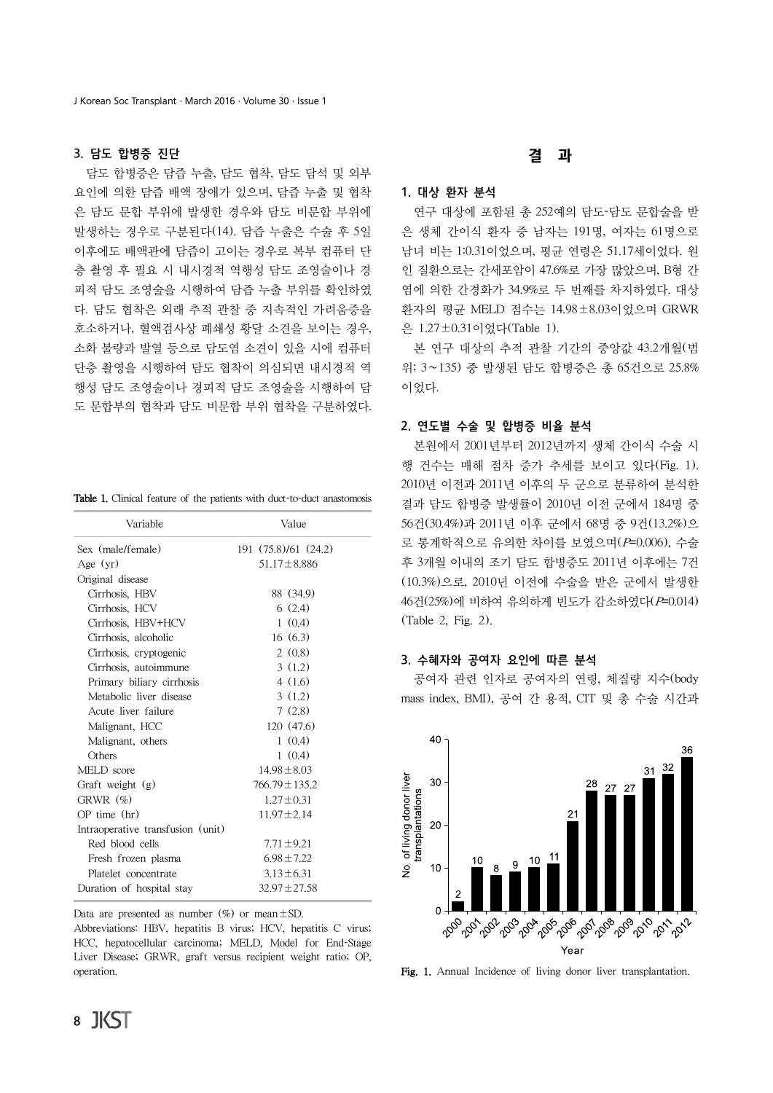#### 3. 담도 합병증 진단

담도 합병증은 담즙 누출, 담도 협착, 담도 담석 및 외부 요인에 의한 담즙 배액 장애가 있으며, 담즙 누출 및 협착 은 담도 문합 부위에 발생한 경우와 담도 비문합 부위에 발생하는 경우로 구분된다(14). 담즙 누출은 수술 후 5일 이후에도 배액관에 담즙이 고이는 경우로 복부 컴퓨터 단 층 촬영 후 필요 시 내시경적 역행성 담도 조영술이나 경 피적 담도 조영술을 시행하여 담즙 누출 부위를 확인하였 다. 담도 협착은 외래 추적 관찰 중 지속적인 가려움증을 호소하거나, 혈액검사상 폐쇄성 황달 소견을 보이는 경우, 소화 불량과 발열 등으로 담도염 소견이 있을 시에 컴퓨터 단층 촬영을 시행하여 담도 협착이 의심되면 내시경적 역 행성 담도 조영술이나 경피적 담도 조영술을 시행하여 담 도 문합부의 협착과 담도 비문합 부위 협착을 구분하였다.

Table 1. Clinical feature of the patients with duct-to-duct anastomosis

| Variable                          | Value                |
|-----------------------------------|----------------------|
| Sex (male/female)                 | 191 (75.8)/61 (24.2) |
| Age $(yr)$                        | $51.17 \pm 8.886$    |
| Original disease                  |                      |
| Cirrhosis, HBV                    | 88 (34.9)            |
| Cirrhosis, HCV                    | 6(2.4)               |
| Cirrhosis, HBV+HCV                | 1(0.4)               |
| Cirrhosis, alcoholic              | 16(6.3)              |
| Cirrhosis, cryptogenic            | 2(0.8)               |
| Cirrhosis, autoimmune             | 3(1.2)               |
| Primary biliary cirrhosis         | 4(1.6)               |
| Metabolic liver disease           | 3(1.2)               |
| Acute liver failure               | 7(2.8)               |
| Malignant, HCC                    | 120 (47.6)           |
| Malignant, others                 | 1(0.4)               |
| Others                            | 1(0.4)               |
| MELD score                        | $14.98 \pm 8.03$     |
| Graft weight (g)                  | $766.79 \pm 135.2$   |
| GRWR $(\%)$                       | $1.27 \pm 0.31$      |
| $OP$ time $(hr)$                  | $11.97 \pm 2.14$     |
| Intraoperative transfusion (unit) |                      |
| Red blood cells                   | $7.71 \pm 9.21$      |
| Fresh frozen plasma               | $6.98 \pm 7.22$      |
| Platelet concentrate              | $3.13 \pm 6.31$      |
| Duration of hospital stay         | $32.97 \pm 27.58$    |

Data are presented as number  $(\%)$  or mean  $\pm$  SD.

Abbreviations: HBV, hepatitis B virus; HCV, hepatitis C virus; HCC, hepatocellular carcinoma; MELD, Model for End-Stage Liver Disease; GRWR, graft versus recipient weight ratio; OP, **Fig. 1.** Annual Incidence of living donor liver transplantation.

# 결 과

#### 1. 대상 환자 분석

연구 대상에 포함된 총 252예의 담도-담도 문합술을 받 은 생체 간이식 환자 중 남자는 191명, 여자는 61명으로 남녀 비는 1:0.31이었으며, 평균 연령은 51.17세이었다. 원 인 질환으로는 간세포암이 47.6%로 가장 많았으며, B형 간 염에 의한 간경화가 34.9%로 두 번째를 차지하였다. 대상 환자의 평균 MELD 점수는 14.98±8.03이었으며 GRWR 은 1.27±0.31이었다(Table 1).

본 연구 대상의 추적 관찰 기간의 중앙값 43.2개월(범 위; 3∼135) 중 발생된 담도 합병증은 총 65건으로 25.8% 이었다.

#### 2. 연도별 수술 및 합병증 비율 분석

본원에서 2001년부터 2012년까지 생체 간이식 수술 시 행 건수는 매해 점차 증가 추세를 보이고 있다(Fig. 1). 2010년 이전과 2011년 이후의 두 군으로 분류하여 분석한 결과 담도 합병증 발생률이 2010년 이전 군에서 184명 중 56건(30.4%)과 2011년 이후 군에서 68명 중 9건(13.2%)으 로 통계학적으로 유의한 차이를 보였으며(P=0.006), 수술 후 3개월 이내의 조기 담도 합병증도 2011년 이후에는 7건 (10.3%)으로, 2010년 이전에 수술을 받은 군에서 발생한 46건(25%)에 비하여 유의하게 빈도가 감소하였다(P=0.014) (Table 2, Fig. 2).

#### 3. 수혜자와 공여자 요인에 따른 분석

공여자 관련 인자로 공여자의 연령, 체질량 지수(body mass index, BMI), 공여 간 용적, CIT 및 총 수술 시간과

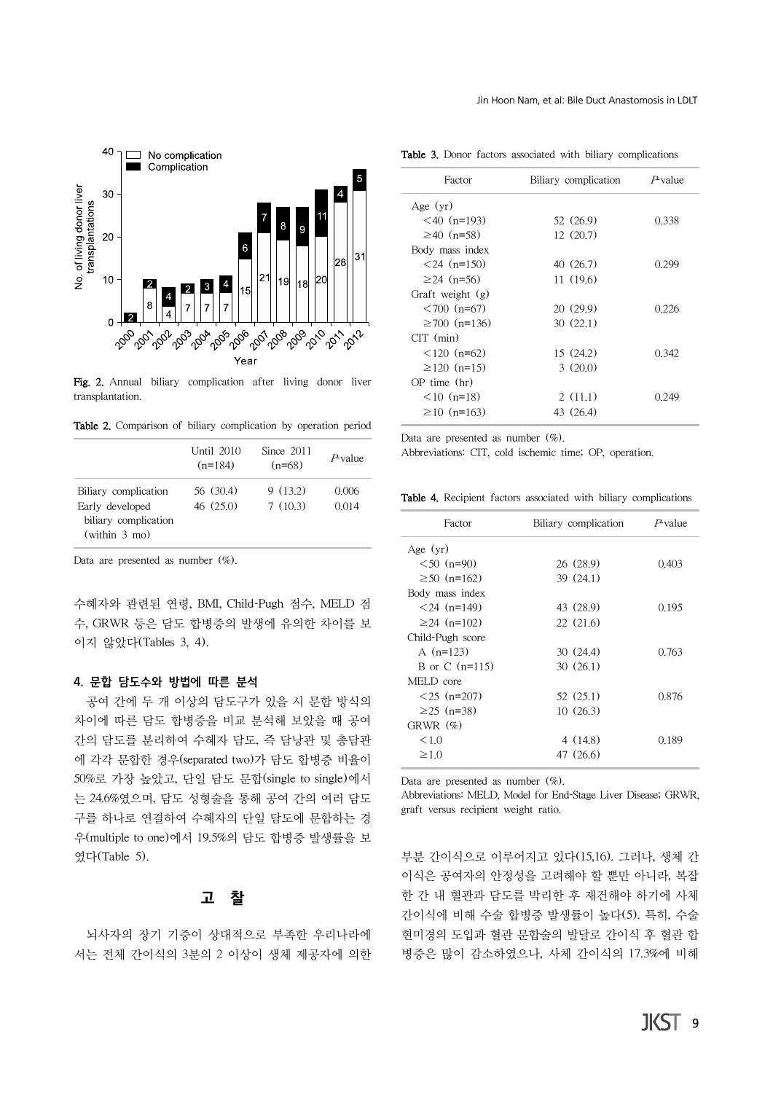

Fig. 2. Annual biliary complication after living donor liver transplantation.

Table 2. Comparison of biliary complication by operation period

|                                         | Until 2010<br>$(n=184)$ | Since 2011<br>$(n=68)$ | $P$ value      |
|-----------------------------------------|-------------------------|------------------------|----------------|
| Biliary complication<br>Early developed | 56 (30.4)<br>46(25.0)   | 9(13.2)<br>7(10.3)     | 0.006<br>0.014 |
| biliary complication<br>(within 3 mo)   |                         |                        |                |

Data are presented as number  $(\%)$ .

수혜자와 관련된 연령, BMI, Child-Pugh 점수, MELD 점 수, GRWR 등은 담도 합병증의 발생에 유의한 차이를 보 이지 않았다(Tables 3, 4).

#### 4. 문합 담도수와 방법에 따른 분석

공여 간에 두 개 이상의 담도구가 있을 시 문합 방식의 차이에 따른 담도 합병증을 비교 분석해 보았을 때 공여 간의 담도를 분리하여 수혜자 담도, 즉 담낭관 및 총담관 에 각각 문합한 경우(separated two)가 담도 합병증 비율이 50%로 가장 높았고, 단일 담도 문합(single to single)에서 는 24.6%였으며, 담도 성형술을 통해 공여 간의 여러 담도 구를 하나로 연결하여 수혜자의 단일 담도에 문합하는 경 우(multiple to one)에서 19.5%의 담도 합병증 발생률을 보 였다(Table 5).

### 고 찰

뇌사자의 장기 기증이 상대적으로 부족한 우리나라에 서는 전체 간이식의 3분의 2 이상이 생체 제공자에 의한

|  |  |  |  |  |  |  |  | Table 3. Donor factors associated with biliary complications |
|--|--|--|--|--|--|--|--|--------------------------------------------------------------|
|--|--|--|--|--|--|--|--|--------------------------------------------------------------|

| Factor             | Biliary complication | $P$ value |
|--------------------|----------------------|-----------|
| Age $(yr)$         |                      |           |
| $< 40$ (n=193)     | 52 (26.9)            | 0.338     |
| $\geq 40$ (n=58)   | 12(20.7)             |           |
| Body mass index    |                      |           |
| $<$ 24 (n=150)     | 40 (26.7)            | 0.299     |
| $≥24$ (n=56)       | 11(19.6)             |           |
| Graft weight (g)   |                      |           |
| $<700$ (n=67)      | 20 (29.9)            | 0.226     |
| $\geq 700$ (n=136) | 30(22.1)             |           |
| $CT \ (min)$       |                      |           |
| $< 120$ (n=62)     | 15(24.2)             | 0.342     |
| $\geq$ 120 (n=15)  | 3(20.0)              |           |
| $OP$ time $(hr)$   |                      |           |
| $< 10$ (n=18)      | 2(11.1)              | (1249     |
| $\geq$ 10 (n=163)  | 43 (26.4)            |           |

Data are presented as number  $(\%)$ .

Abbreviations: CIT, cold ischemic time; OP, operation.

|  |  |  |  |  |  |  | Table 4. Recipient factors associated with biliary complications |
|--|--|--|--|--|--|--|------------------------------------------------------------------|
|--|--|--|--|--|--|--|------------------------------------------------------------------|

| Factor            | Biliary complication | $P$ value |
|-------------------|----------------------|-----------|
| Age $(yr)$        |                      |           |
| $<50$ (n=90)      | 26 (28.9)            | 0.403     |
| $\geq 50$ (n=162) | 39(24.1)             |           |
| Body mass index   |                      |           |
| $< 24$ (n=149)    | 43 (28.9)            | 0.195     |
| $\geq$ 24 (n=102) | 22(21.6)             |           |
| Child-Pugh score  |                      |           |
| A $(n=123)$       | 30(24.4)             | 0.763     |
| B or C $(n=115)$  | 30(26.1)             |           |
| MELD core         |                      |           |
| $< 25$ (n=207)    | 52 (25.1)            | 0.876     |
| $\geq$ 25 (n=38)  | 10(26.3)             |           |
| GRWR $(\%)$       |                      |           |
| <1.0              | 4 (14.8)             | 0.189     |
| $\geq 1.0$        | 47 (26.6)            |           |

Data are presented as number  $(\%)$ .

Abbreviations: MELD, Model for End-Stage Liver Disease; GRWR, graft versus recipient weight ratio.

부분 간이식으로 이루어지고 있다(15,16). 그러나, 생체 간 이식은 공여자의 안정성을 고려해야 할 뿐만 아니라, 복잡 한 간 내 혈관과 담도를 박리한 후 재건해야 하기에 사체 간이식에 비해 수술 합병증 발생률이 높다(5). 특히, 수술 현미경의 도입과 혈관 문합술의 발달로 간이식 후 혈관 합 병증은 많이 감소하였으나, 사체 간이식의 17.3%에 비해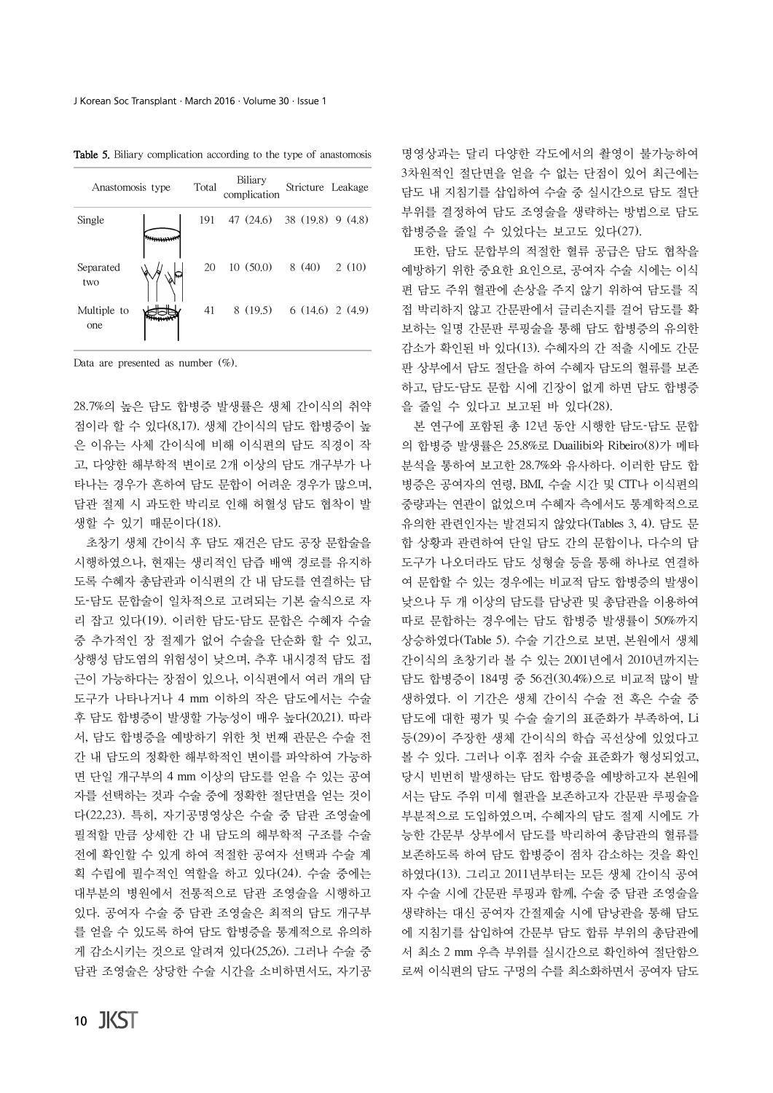| Anastomosis type   | Total | Biliary<br>complication              | Stricture Leakage |       |
|--------------------|-------|--------------------------------------|-------------------|-------|
| Single             | 191   | 47 (24.6) 38 (19.8) 9 (4.8)          |                   |       |
| Separated<br>two   | 20    | $10(50,0)$ 8 (40)                    |                   | 2(10) |
| Multiple to<br>one | 41    | $8(19.5) \quad 6(14.6) \quad 2(4.9)$ |                   |       |

Table 5. Biliary complication according to the type of anastomosis

Data are presented as number (%).

28.7%의 높은 담도 합병증 발생률은 생체 간이식의 취약 점이라 할 수 있다(8,17). 생체 간이식의 담도 합병증이 높 은 이유는 사체 간이식에 비해 이식편의 담도 직경이 작 고, 다양한 해부학적 변이로 2개 이상의 담도 개구부가 나 타나는 경우가 흔하여 담도 문합이 어려운 경우가 많으며, 담관 절제 시 과도한 박리로 인해 허혈성 담도 협착이 발 생할 수 있기 때문이다(18).

초창기 생체 간이식 후 담도 재건은 담도 공장 문합술을 시행하였으나, 현재는 생리적인 담즙 배액 경로를 유지하 도록 수혜자 총담관과 이식편의 간 내 담도를 연결하는 담 도-담도 문합술이 일차적으로 고려되는 기본 술식으로 자 리 잡고 있다(19). 이러한 담도-담도 문합은 수혜자 수술 중 추가적인 장 절제가 없어 수술을 단순화 할 수 있고, 상행성 담도염의 위험성이 낮으며, 추후 내시경적 담도 접 근이 가능하다는 장점이 있으나, 이식편에서 여러 개의 담 도구가 나타나거나 4 mm 이하의 작은 담도에서는 수술 후 담도 합병증이 발생할 가능성이 매우 높다(20,21). 따라 서, 담도 합병증을 예방하기 위한 첫 번째 관문은 수술 전 간 내 담도의 정확한 해부학적인 변이를 파악하여 가능하 면 단일 개구부의 4 mm 이상의 담도를 얻을 수 있는 공여 자를 선택하는 것과 수술 중에 정확한 절단면을 얻는 것이 다(22,23). 특히, 자기공명영상은 수술 중 담관 조영술에 필적할 만큼 상세한 간 내 담도의 해부학적 구조를 수술 전에 확인할 수 있게 하여 적절한 공여자 선택과 수술 계 획 수립에 필수적인 역할을 하고 있다(24). 수술 중에는 대부분의 병원에서 전통적으로 담관 조영술을 시행하고 있다. 공여자 수술 중 담관 조영술은 최적의 담도 개구부 를 얻을 수 있도록 하여 담도 합병증을 통계적으로 유의하 게 감소시키는 것으로 알려져 있다(25,26). 그러나 수술 중 담관 조영술은 상당한 수술 시간을 소비하면서도, 자기공

명영상과는 달리 다양한 각도에서의 촬영이 불가능하여 3차원적인 절단면을 얻을 수 없는 단점이 있어 최근에는 담도 내 지침기를 삽입하여 수술 중 실시간으로 담도 절단 부위를 결정하여 담도 조영술을 생략하는 방법으로 담도 합병증을 줄일 수 있었다는 보고도 있다(27).

또한, 담도 문합부의 적절한 혈류 공급은 담도 협착을 예방하기 위한 중요한 요인으로, 공여자 수술 시에는 이식 편 담도 주위 혈관에 손상을 주지 않기 위하여 담도를 직 접 박리하지 않고 간문판에서 글리손지를 걸어 담도를 확 보하는 일명 간문판 루핑술을 통해 담도 합병증의 유의한 감소가 확인된 바 있다(13). 수혜자의 간 적출 시에도 간문 판 상부에서 담도 절단을 하여 수혜자 담도의 혈류를 보존 하고, 담도-담도 문합 시에 긴장이 없게 하면 담도 합병증 을 줄일 수 있다고 보고된 바 있다(28).

본 연구에 포함된 총 12년 동안 시행한 담도-담도 문합 의 합병증 발생률은 25.8%로 Duailibi와 Ribeiro(8)가 메타 분석을 통하여 보고한 28.7%와 유사하다. 이러한 담도 합 병증은 공여자의 연령, BMI, 수술 시간 및 CIT나 이식편의 중량과는 연관이 없었으며 수혜자 측에서도 통계학적으로 유의한 관련인자는 발견되지 않았다(Tables 3, 4). 담도 문 합 상황과 관련하여 단일 담도 간의 문합이나, 다수의 담 도구가 나오더라도 담도 성형술 등을 통해 하나로 연결하 여 문합할 수 있는 경우에는 비교적 담도 합병증의 발생이 낮으나 두 개 이상의 담도를 담낭관 및 총담관을 이용하여 따로 문합하는 경우에는 담도 합병증 발생률이 50%까지 상승하였다(Table 5). 수술 기간으로 보면, 본원에서 생체 간이식의 초창기라 볼 수 있는 2001년에서 2010년까지는 담도 합병증이 184명 중 56건(30.4%)으로 비교적 많이 발 생하였다. 이 기간은 생체 간이식 수술 전 혹은 수술 중 담도에 대한 평가 및 수술 술기의 표준화가 부족하여, Li 등(29)이 주장한 생체 간이식의 학습 곡선상에 있었다고 볼 수 있다. 그러나 이후 점차 수술 표준화가 형성되었고, 당시 빈번히 발생하는 담도 합병증을 예방하고자 본원에 서는 담도 주위 미세 혈관을 보존하고자 간문판 루핑술을 부분적으로 도입하였으며, 수혜자의 담도 절제 시에도 가 능한 간문부 상부에서 담도를 박리하여 총담관의 혈류를 보존하도록 하여 담도 합병증이 점차 감소하는 것을 확인 하였다(13). 그리고 2011년부터는 모든 생체 간이식 공여 자 수술 시에 간문판 루핑과 함께, 수술 중 담관 조영술을 생략하는 대신 공여자 간절제술 시에 담낭관을 통해 담도 에 지침기를 삽입하여 간문부 담도 합류 부위의 총담관에 서 최소 2 mm 우측 부위를 실시간으로 확인하여 절단함으 로써 이식편의 담도 구멍의 수를 최소화하면서 공여자 담도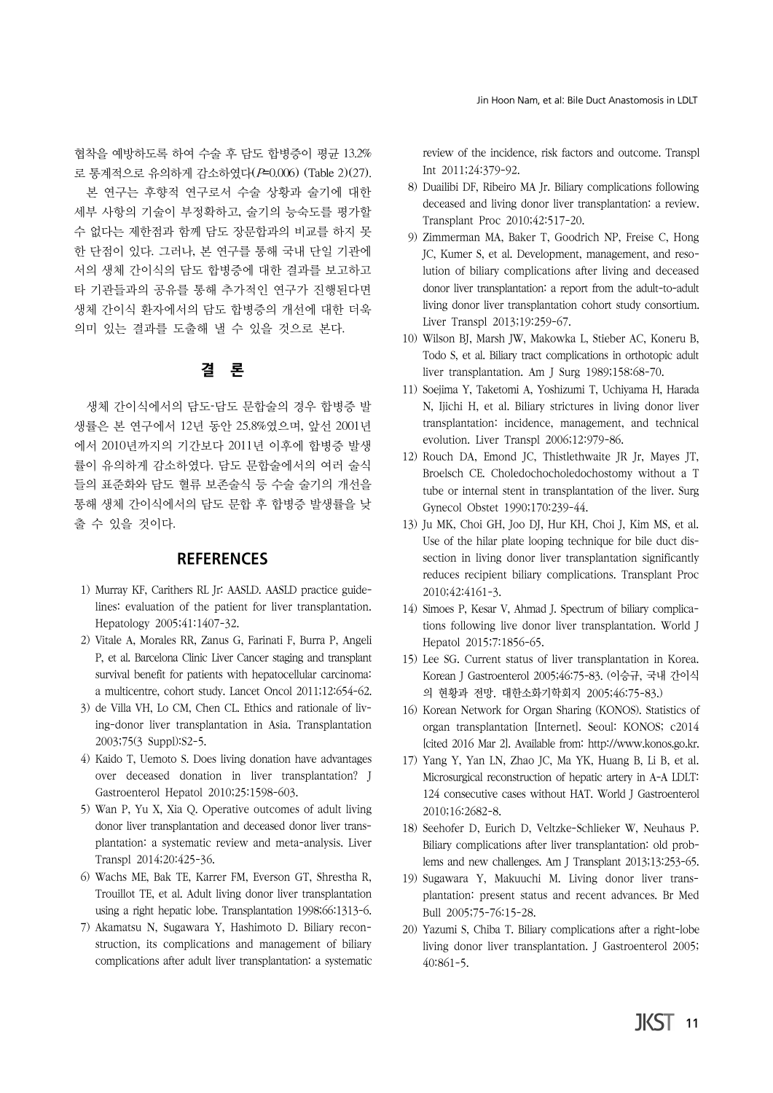협착을 예방하도록 하여 수술 후 담도 합병증이 평균 13.2% 로 통계적으로 유의하게 감소하였다(P=0.006) (Table 2)(27).

본 연구는 후향적 연구로서 수술 상황과 술기에 대한 세부 사항의 기술이 부정확하고, 술기의 능숙도를 평가할 수 없다는 제한점과 함께 담도 장문합과의 비교를 하지 못 한 단점이 있다. 그러나, 본 연구를 통해 국내 단일 기관에 서의 생체 간이식의 담도 합병증에 대한 결과를 보고하고 타 기관들과의 공유를 통해 추가적인 연구가 진행된다면 생체 간이식 환자에서의 담도 합병증의 개선에 대한 더욱 의미 있는 결과를 도출해 낼 수 있을 것으로 본다.

# 결 론

생체 간이식에서의 담도-담도 문합술의 경우 합병증 발 생률은 본 연구에서 12년 동안 25.8%였으며, 앞선 2001년 에서 2010년까지의 기간보다 2011년 이후에 합병증 발생 률이 유의하게 감소하였다. 담도 문합술에서의 여러 술식 들의 표준화와 담도 혈류 보존술식 등 수술 술기의 개선을 통해 생체 간이식에서의 담도 문합 후 합병증 발생률을 낮 출 수 있을 것이다.

## **REFERENCES**

- 1) Murray KF, Carithers RL Jr: AASLD. AASLD practice guidelines: evaluation of the patient for liver transplantation. Hepatology 2005;41:1407-32.
- 2) Vitale A, Morales RR, Zanus G, Farinati F, Burra P, Angeli P, et al. Barcelona Clinic Liver Cancer staging and transplant survival benefit for patients with hepatocellular carcinoma: a multicentre, cohort study. Lancet Oncol 2011;12:654-62.
- 3) de Villa VH, Lo CM, Chen CL. Ethics and rationale of living-donor liver transplantation in Asia. Transplantation 2003;75(3 Suppl):S2-5.
- 4) Kaido T, Uemoto S. Does living donation have advantages over deceased donation in liver transplantation? J Gastroenterol Hepatol 2010;25:1598-603.
- 5) Wan P, Yu X, Xia Q. Operative outcomes of adult living donor liver transplantation and deceased donor liver transplantation: a systematic review and meta-analysis. Liver Transpl 2014;20:425-36.
- 6) Wachs ME, Bak TE, Karrer FM, Everson GT, Shrestha R, Trouillot TE, et al. Adult living donor liver transplantation using a right hepatic lobe. Transplantation 1998;66:1313-6.
- 7) Akamatsu N, Sugawara Y, Hashimoto D. Biliary reconstruction, its complications and management of biliary complications after adult liver transplantation: a systematic

review of the incidence, risk factors and outcome. Transpl Int 2011;24:379-92.

- 8) Duailibi DF, Ribeiro MA Jr. Biliary complications following deceased and living donor liver transplantation: a review. Transplant Proc 2010;42:517-20.
- 9) Zimmerman MA, Baker T, Goodrich NP, Freise C, Hong JC, Kumer S, et al. Development, management, and resolution of biliary complications after living and deceased donor liver transplantation: a report from the adult-to-adult living donor liver transplantation cohort study consortium. Liver Transpl 2013;19:259-67.
- 10) Wilson BJ, Marsh JW, Makowka L, Stieber AC, Koneru B, Todo S, et al. Biliary tract complications in orthotopic adult liver transplantation. Am J Surg 1989;158:68-70.
- 11) Soejima Y, Taketomi A, Yoshizumi T, Uchiyama H, Harada N, Ijichi H, et al. Biliary strictures in living donor liver transplantation: incidence, management, and technical evolution. Liver Transpl 2006;12:979-86.
- 12) Rouch DA, Emond JC, Thistlethwaite JR Jr, Mayes JT, Broelsch CE. Choledochocholedochostomy without a T tube or internal stent in transplantation of the liver. Surg Gynecol Obstet 1990;170:239-44.
- 13) Ju MK, Choi GH, Joo DJ, Hur KH, Choi J, Kim MS, et al. Use of the hilar plate looping technique for bile duct dissection in living donor liver transplantation significantly reduces recipient biliary complications. Transplant Proc 2010;42:4161-3.
- 14) Simoes P, Kesar V, Ahmad J. Spectrum of biliary complications following live donor liver transplantation. World J Hepatol 2015;7:1856-65.
- 15) Lee SG. Current status of liver transplantation in Korea. Korean J Gastroenterol 2005;46:75-83. (이승규, 국내 간이식 의 현황과 전망. 대한소화기학회지 2005;46:75-83.)
- 16) Korean Network for Organ Sharing (KONOS). Statistics of organ transplantation [Internet]. Seoul: KONOS; c2014 [cited 2016 Mar 2]. Available from: http://www.konos.go.kr.
- 17) Yang Y, Yan LN, Zhao JC, Ma YK, Huang B, Li B, et al. Microsurgical reconstruction of hepatic artery in A-A LDLT: 124 consecutive cases without HAT. World J Gastroenterol 2010;16:2682-8.
- 18) Seehofer D, Eurich D, Veltzke-Schlieker W, Neuhaus P. Biliary complications after liver transplantation: old problems and new challenges. Am J Transplant 2013;13:253-65.
- 19) Sugawara Y, Makuuchi M. Living donor liver transplantation: present status and recent advances. Br Med Bull 2005;75-76:15-28.
- 20) Yazumi S, Chiba T. Biliary complications after a right-lobe living donor liver transplantation. J Gastroenterol 2005; 40:861-5.